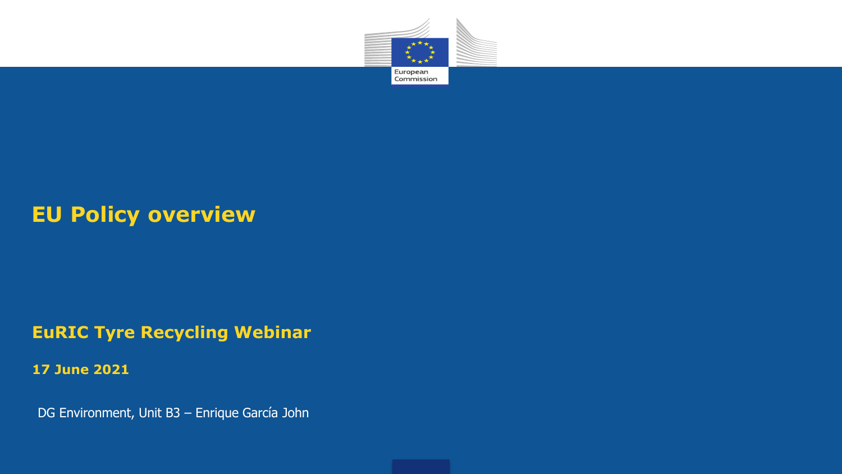

#### **EU Policy overview**

#### **EuRIC Tyre Recycling Webinar**

**17 June 2021**

DG Environment, Unit B3 – Enrique García John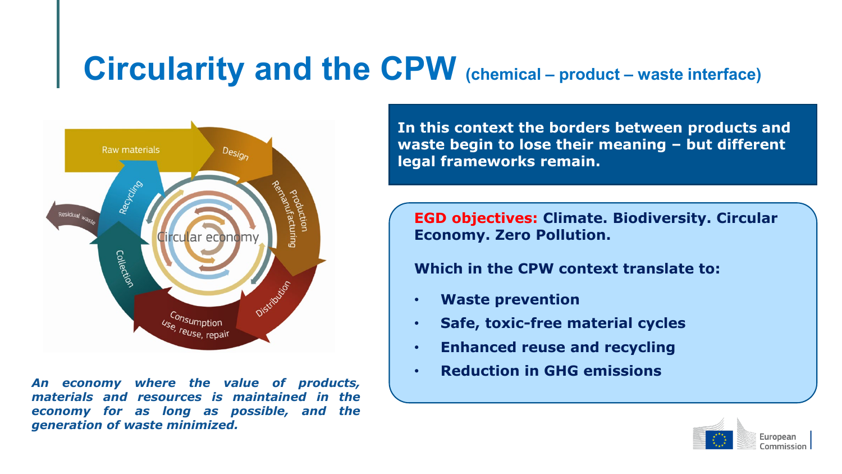## **Circularity and the CPW (chemical – product – waste interface)**



*An economy where the value of products, materials and resources is maintained in the economy for as long as possible, and the generation of waste minimized.*

**In this context the borders between products and waste begin to lose their meaning – but different legal frameworks remain.** 

**EGD objectives: Climate. Biodiversity. Circular Economy. Zero Pollution.**

#### **Which in the CPW context translate to:**

- **Waste prevention**
- **Safe, toxic-free material cycles**
- **Enhanced reuse and recycling**
- **Reduction in GHG emissions**

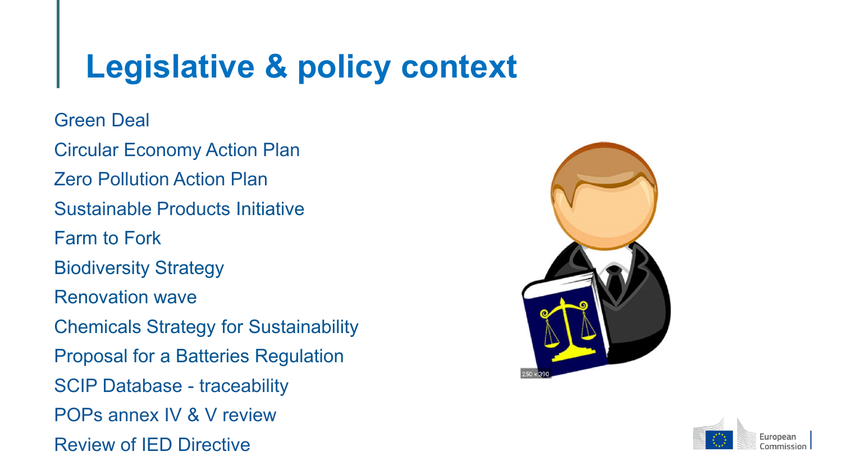## **Legislative & policy context**

**Green Deal** 

 Circular Economy Action Plan Zero Pollution Action Plan Sustainable Products Initiative Farm to Fork Biodiversity Strategy Renovation wave Chemicals Strategy for Sustainability Proposal for a Batteries Regulation SCIP Database - traceability POPs annex IV & V review Review of IED Directive



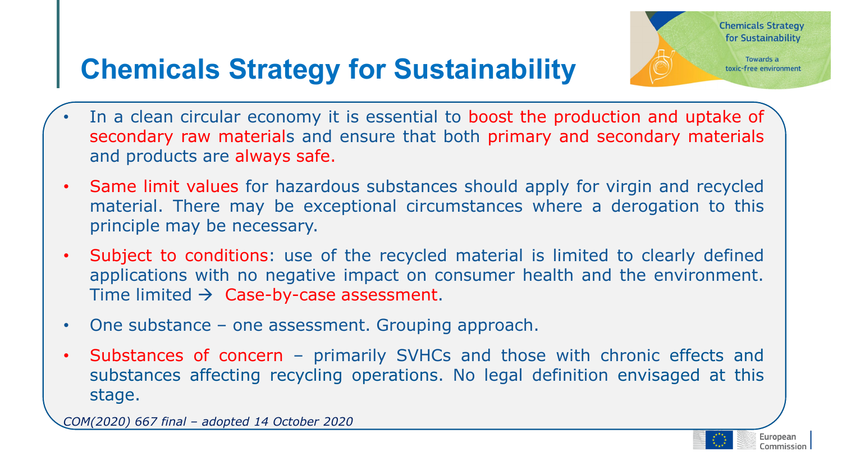### **Chemicals Strategy for Sustainability**

- In a clean circular economy it is essential to boost the production and uptake of secondary raw materials and ensure that both primary and secondary materials and products are always safe.
- Same limit values for hazardous substances should apply for virgin and recycled material. There may be exceptional circumstances where a derogation to this principle may be necessary.
- Subject to conditions. use of the recycled material is immed to clearly defined<br>applications with no negative impact on consumer health and the environment. • Subject to conditions: use of the recycled material is limited to clearly defined Time limited  $\rightarrow$  Case-by-case assessment.
- One substance one assessment. Grouping approach.
- Substances of concern primarily SVHCs and those with chronic effects and substances affecting recycling operations. No legal definition envisaged at this stage.

*COM(2020) 667 final – adopted 14 October 2020*

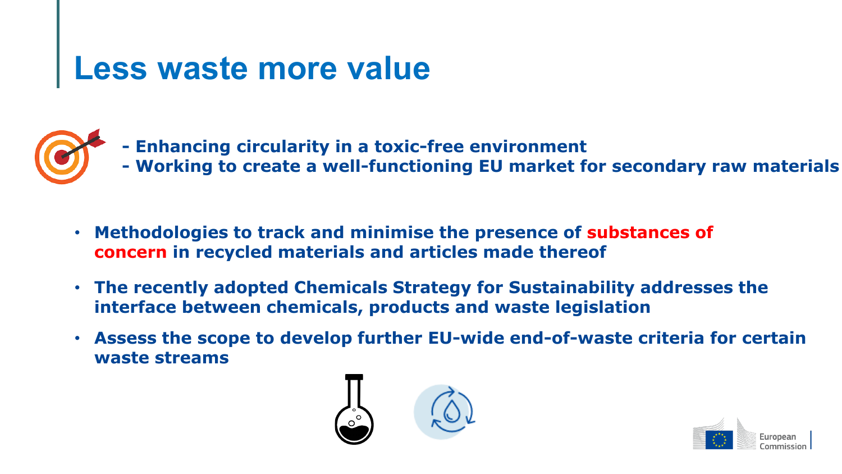# **Less waste more value**

- **- Enhancing circularity in a toxic-free environment**
	- **- Working to create a well-functioning EU market for secondary raw materials**
- **Methodologies to track and minimise the presence of substances of concern in recycled materials and articles made thereof**
- **The recently adopted Chemicals Strategy for Sustainability addresses the interface between chemicals, products and waste legislation**
- **Assess the scope to develop further EU-wide end-of-waste criteria for certain waste streams**



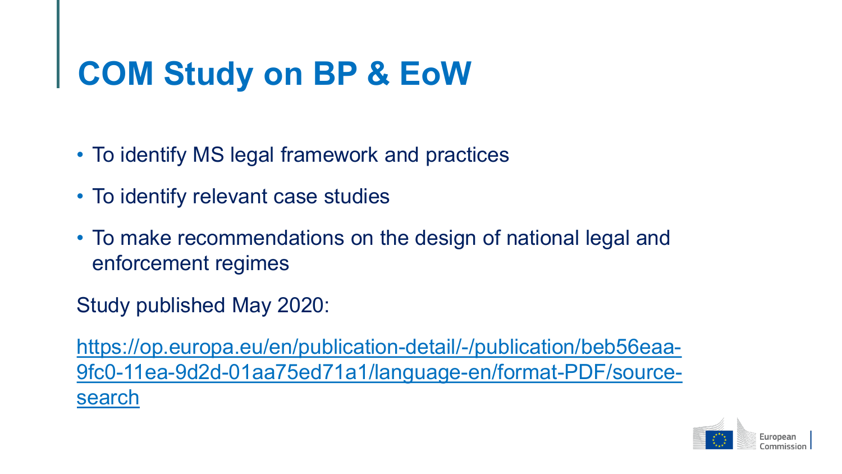## **COM Study on BP & EoW**

- To identify MS legal framework and practices
- To identify relevant case studies
- To make recommendations on the design of national legal and enforcement regimes

Study published May 2020:

https://op.europa.eu/en/publication-detail/-/publication/beb56eaa-[9fc0-11ea-9d2d-01aa75ed71a1/language-en/format-PDF/source](https://op.europa.eu/en/publication-detail/-/publication/beb56eaa-9fc0-11ea-9d2d-01aa75ed71a1/language-en/format-PDF/source-search)search

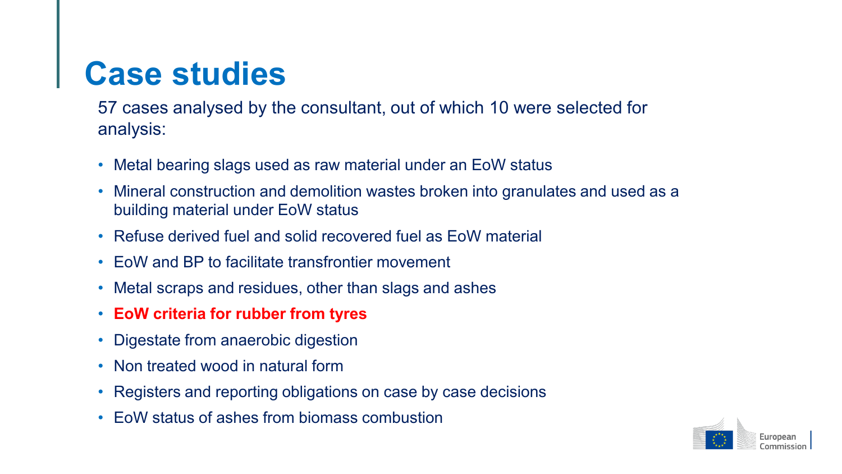## **Case studies**

57 cases analysed by the consultant, out of which 10 were selected for analysis:

- Metal bearing slags used as raw material under an EoW status
- Mineral construction and demolition wastes broken into granulates and used as a building material under EoW status
- Refuse derived fuel and solid recovered fuel as EoW material
- EoW and BP to facilitate transfrontier movement
- Metal scraps and residues, other than slags and ashes
- **EoW criteria for rubber from tyres**
- Digestate from anaerobic digestion
- Non treated wood in natural form
- Registers and reporting obligations on case by case decisions
- EoW status of ashes from biomass combustion

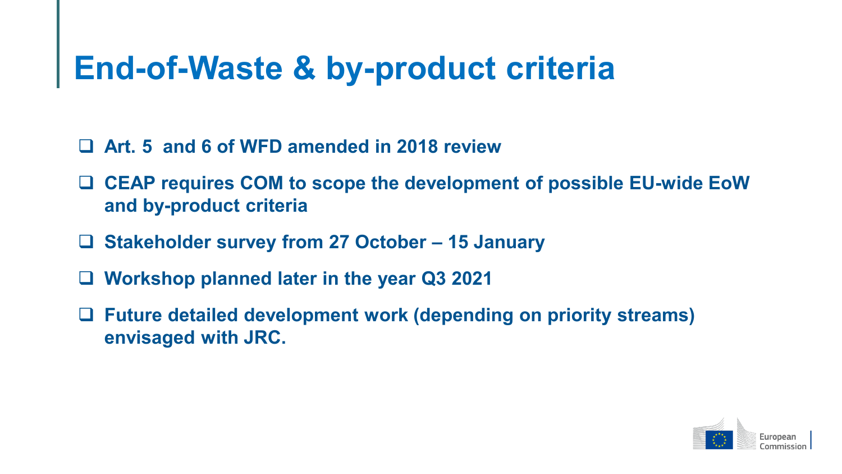## **End-of-Waste & by-product criteria**

- **Art. 5 and 6 of WFD amended in 2018 review**
- **CEAP requires COM to scope the development of possible EU-wide EoW and by-product criteria**
- **Stakeholder survey from 27 October – 15 January**
- **Workshop planned later in the year Q3 2021**
- **Future detailed development work (depending on priority streams) envisaged with JRC.**

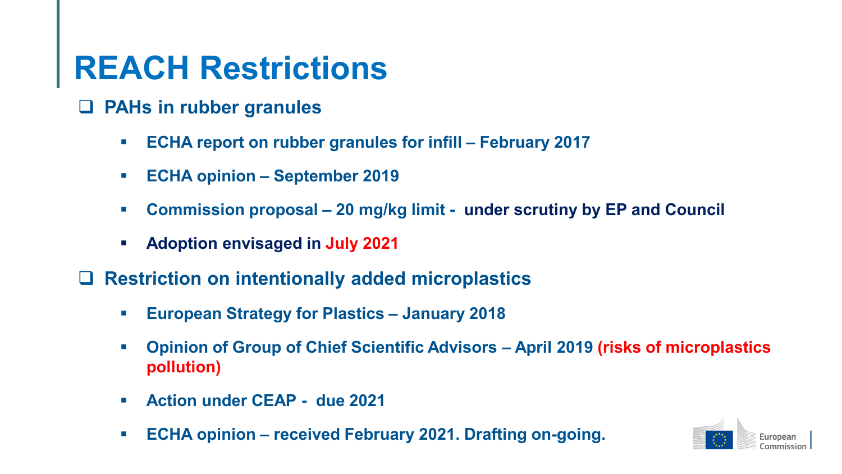## **REACH Restrictions**

- **PAHs in rubber granules**
	- **ECHA report on rubber granules for infill – February 2017**
	- **ECHA opinion – September 2019**
	- **Commission proposal – 20 mg/kg limit - under scrutiny by EP and Council**
	- **Adoption envisaged in July 2021**
- **Restriction on intentionally added microplastics**
	- **European Strategy for Plastics – January 2018**
	- **Opinion of Group of Chief Scientific Advisors – April 2019 (risks of microplastics pollution)**
	- **Action under CEAP - due 2021**
	- **ECHA opinion – received February 2021. Drafting on-going.**